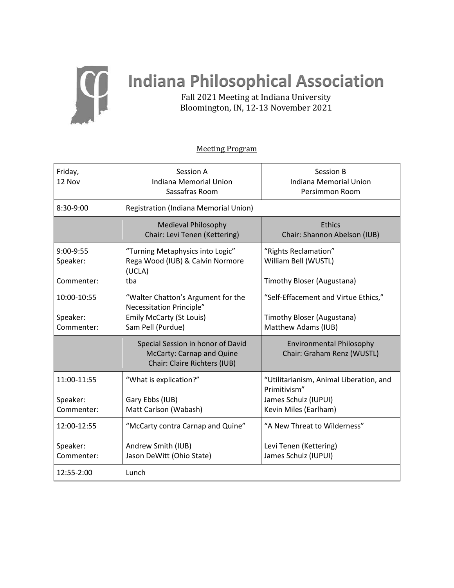

Friday, 12 Nov

# **Indiana Philosophical Association**

Fall 2021 Meeting at Indiana University Bloomington, IN, 12-13 November 2021

# Session A Indiana Memorial Union Sassafras Room Session B Indiana Memorial Union Persimmon Room

Meeting Program

| 8:30-9:00              | <b>Registration (Indiana Memorial Union)</b>                                                   |                                                               |
|------------------------|------------------------------------------------------------------------------------------------|---------------------------------------------------------------|
|                        | <b>Medieval Philosophy</b><br>Chair: Levi Tenen (Kettering)                                    | <b>Ethics</b><br>Chair: Shannon Abelson (IUB)                 |
| 9:00-9:55<br>Speaker:  | "Turning Metaphysics into Logic"<br>Rega Wood (IUB) & Calvin Normore<br>(UCLA)                 | "Rights Reclamation"<br>William Bell (WUSTL)                  |
| Commenter:             | tba                                                                                            | Timothy Bloser (Augustana)                                    |
| 10:00-10:55            | "Walter Chatton's Argument for the<br>Necessitation Principle"                                 | "Self-Effacement and Virtue Ethics,"                          |
| Speaker:<br>Commenter: | <b>Emily McCarty (St Louis)</b><br>Sam Pell (Purdue)                                           | Timothy Bloser (Augustana)<br>Matthew Adams (IUB)             |
|                        | Special Session in honor of David<br>McCarty: Carnap and Quine<br>Chair: Claire Richters (IUB) | <b>Environmental Philosophy</b><br>Chair: Graham Renz (WUSTL) |
| 11:00-11:55            | "What is explication?"                                                                         | "Utilitarianism, Animal Liberation, and<br>Primitivism"       |
| Speaker:               | Gary Ebbs (IUB)                                                                                | James Schulz (IUPUI)                                          |
| Commenter:             | Matt Carlson (Wabash)                                                                          | Kevin Miles (Earlham)                                         |
| 12:00-12:55            | "McCarty contra Carnap and Quine"                                                              | "A New Threat to Wilderness"                                  |
| Speaker:<br>Commenter: | Andrew Smith (IUB)<br>Jason DeWitt (Ohio State)                                                | Levi Tenen (Kettering)<br>James Schulz (IUPUI)                |
| 12:55-2:00             | Lunch                                                                                          |                                                               |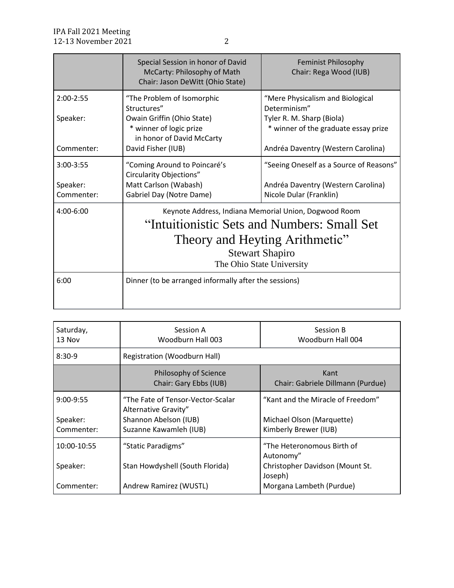|                        | Special Session in honor of David<br>McCarty: Philosophy of Math<br>Chair: Jason DeWitt (Ohio State)                                                                                          | <b>Feminist Philosophy</b><br>Chair: Rega Wood (IUB)              |
|------------------------|-----------------------------------------------------------------------------------------------------------------------------------------------------------------------------------------------|-------------------------------------------------------------------|
| $2:00-2:55$            | "The Problem of Isomorphic<br>Structures"                                                                                                                                                     | "Mere Physicalism and Biological<br>Determinism"                  |
| Speaker:               | Owain Griffin (Ohio State)<br>* winner of logic prize<br>in honor of David McCarty                                                                                                            | Tyler R. M. Sharp (Biola)<br>* winner of the graduate essay prize |
| Commenter:             | David Fisher (IUB)                                                                                                                                                                            | Andréa Daventry (Western Carolina)                                |
| $3:00 - 3:55$          | "Coming Around to Poincaré's<br>Circularity Objections"                                                                                                                                       | "Seeing Oneself as a Source of Reasons"                           |
| Speaker:<br>Commenter: | Matt Carlson (Wabash)<br>Gabriel Day (Notre Dame)                                                                                                                                             | Andréa Daventry (Western Carolina)<br>Nicole Dular (Franklin)     |
| $4:00 - 6:00$          | Keynote Address, Indiana Memorial Union, Dogwood Room<br>"Intuitionistic Sets and Numbers: Small Set<br>Theory and Heyting Arithmetic"<br><b>Stewart Shapiro</b><br>The Ohio State University |                                                                   |
| 6:00                   | Dinner (to be arranged informally after the sessions)                                                                                                                                         |                                                                   |

| Saturday,<br>13 Nov                   | Session A<br>Woodburn Hall 003                                                                               | Session B<br>Woodburn Hall 004                                                          |
|---------------------------------------|--------------------------------------------------------------------------------------------------------------|-----------------------------------------------------------------------------------------|
| $8:30-9$                              | Registration (Woodburn Hall)                                                                                 |                                                                                         |
|                                       | Philosophy of Science<br>Chair: Gary Ebbs (IUB)                                                              | Kant<br>Chair: Gabriele Dillmann (Purdue)                                               |
| $9:00-9:55$<br>Speaker:<br>Commenter: | "The Fate of Tensor-Vector-Scalar<br>Alternative Gravity"<br>Shannon Abelson (IUB)<br>Suzanne Kawamleh (IUB) | "Kant and the Miracle of Freedom"<br>Michael Olson (Marquette)<br>Kimberly Brewer (IUB) |
| 10:00-10:55                           | "Static Paradigms"                                                                                           | "The Heteronomous Birth of<br>Autonomy"                                                 |
| Speaker:<br>Commenter:                | Stan Howdyshell (South Florida)<br>Andrew Ramirez (WUSTL)                                                    | Christopher Davidson (Mount St.<br>Joseph)<br>Morgana Lambeth (Purdue)                  |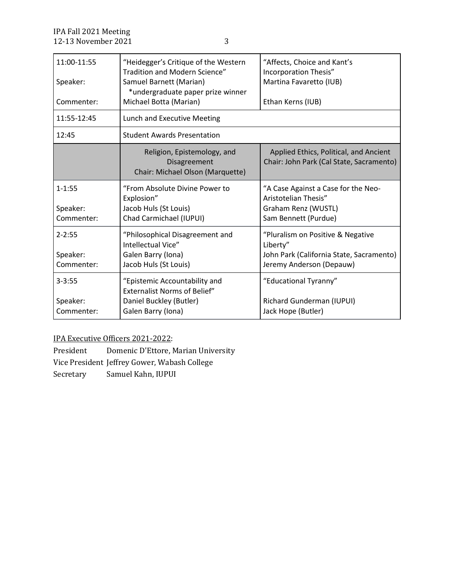| 11:00-11:55<br>Speaker:<br>Commenter: | "Heidegger's Critique of the Western<br>Tradition and Modern Science"<br>Samuel Barnett (Marian)<br>*undergraduate paper prize winner<br>Michael Botta (Marian) | "Affects, Choice and Kant's<br>Incorporation Thesis"<br>Martina Favaretto (IUB)<br>Ethan Kerns (IUB)                  |
|---------------------------------------|-----------------------------------------------------------------------------------------------------------------------------------------------------------------|-----------------------------------------------------------------------------------------------------------------------|
| 11:55-12:45                           | Lunch and Executive Meeting                                                                                                                                     |                                                                                                                       |
| 12:45                                 | <b>Student Awards Presentation</b>                                                                                                                              |                                                                                                                       |
|                                       | Religion, Epistemology, and<br>Disagreement<br>Chair: Michael Olson (Marquette)                                                                                 | Applied Ethics, Political, and Ancient<br>Chair: John Park (Cal State, Sacramento)                                    |
| $1 - 1:55$<br>Speaker:<br>Commenter:  | "From Absolute Divine Power to<br>Explosion"<br>Jacob Huls (St Louis)<br>Chad Carmichael (IUPUI)                                                                | "A Case Against a Case for the Neo-<br>Aristotelian Thesis"<br>Graham Renz (WUSTL)<br>Sam Bennett (Purdue)            |
| $2 - 2:55$<br>Speaker:<br>Commenter:  | "Philosophical Disagreement and<br>Intellectual Vice"<br>Galen Barry (Iona)<br>Jacob Huls (St Louis)                                                            | "Pluralism on Positive & Negative<br>Liberty"<br>John Park (California State, Sacramento)<br>Jeremy Anderson (Depauw) |
| $3 - 3:55$<br>Speaker:<br>Commenter:  | "Epistemic Accountability and<br><b>Externalist Norms of Belief"</b><br>Daniel Buckley (Butler)<br>Galen Barry (Iona)                                           | "Educational Tyranny"<br>Richard Gunderman (IUPUI)<br>Jack Hope (Butler)                                              |

IPA Executive Officers 2021-2022:

President Domenic D'Ettore, Marian University Vice President Jeffrey Gower, Wabash College Secretary Samuel Kahn, IUPUI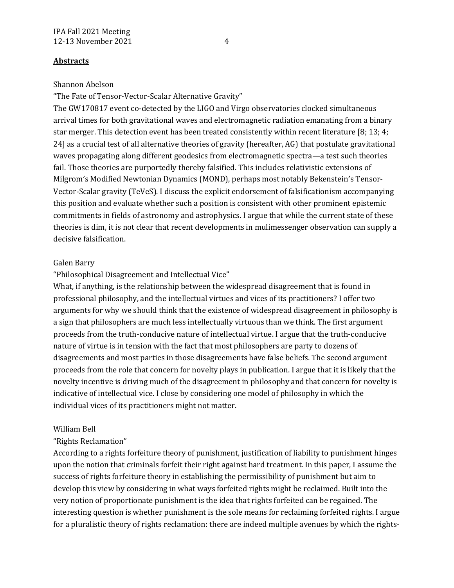## **Abstracts**

### Shannon Abelson

"The Fate of Tensor-Vector-Scalar Alternative Gravity"

The GW170817 event co-detected by the LIGO and Virgo observatories clocked simultaneous arrival times for both gravitational waves and electromagnetic radiation emanating from a binary star merger. This detection event has been treated consistently within recent literature [8; 13; 4; 24] as a crucial test of all alternative theories of gravity (hereafter, AG) that postulate gravitational waves propagating along different geodesics from electromagnetic spectra—a test such theories fail. Those theories are purportedly thereby falsified. This includes relativistic extensions of Milgrom's Modified Newtonian Dynamics (MOND), perhaps most notably Bekenstein's Tensor-Vector-Scalar gravity (TeVeS). I discuss the explicit endorsement of falsificationism accompanying this position and evaluate whether such a position is consistent with other prominent epistemic commitments in fields of astronomy and astrophysics. I argue that while the current state of these theories is dim, it is not clear that recent developments in mulimessenger observation can supply a decisive falsification.

## Galen Barry

## "Philosophical Disagreement and Intellectual Vice"

What, if anything, is the relationship between the widespread disagreement that is found in professional philosophy, and the intellectual virtues and vices of its practitioners? I offer two arguments for why we should think that the existence of widespread disagreement in philosophy is a sign that philosophers are much less intellectually virtuous than we think. The first argument proceeds from the truth-conducive nature of intellectual virtue. I argue that the truth-conducive nature of virtue is in tension with the fact that most philosophers are party to dozens of disagreements and most parties in those disagreements have false beliefs. The second argument proceeds from the role that concern for novelty plays in publication. I argue that it is likely that the novelty incentive is driving much of the disagreement in philosophy and that concern for novelty is indicative of intellectual vice. I close by considering one model of philosophy in which the individual vices of its practitioners might not matter.

#### William Bell

## "Rights Reclamation"

According to a rights forfeiture theory of punishment, justification of liability to punishment hinges upon the notion that criminals forfeit their right against hard treatment. In this paper, I assume the success of rights forfeiture theory in establishing the permissibility of punishment but aim to develop this view by considering in what ways forfeited rights might be reclaimed. Built into the very notion of proportionate punishment is the idea that rights forfeited can be regained. The interesting question is whether punishment is the sole means for reclaiming forfeited rights. I argue for a pluralistic theory of rights reclamation: there are indeed multiple avenues by which the rights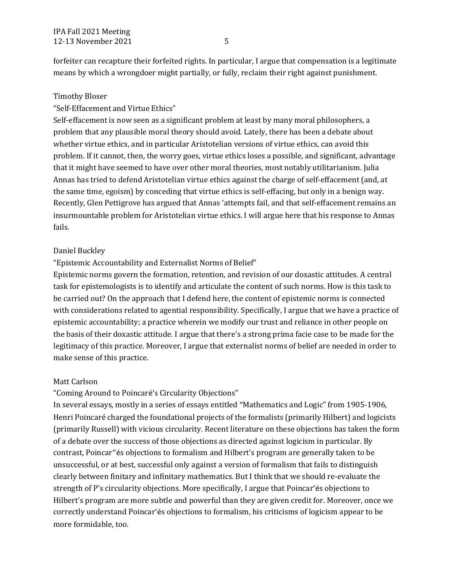forfeiter can recapture their forfeited rights. In particular, I argue that compensation is a legitimate means by which a wrongdoer might partially, or fully, reclaim their right against punishment.

#### Timothy Bloser

#### "Self-Effacement and Virtue Ethics"

Self-effacement is now seen as a significant problem at least by many moral philosophers, a problem that any plausible moral theory should avoid. Lately, there has been a debate about whether virtue ethics, and in particular Aristotelian versions of virtue ethics, can avoid this problem. If it cannot, then, the worry goes, virtue ethics loses a possible, and significant, advantage that it might have seemed to have over other moral theories, most notably utilitarianism. Julia Annas has tried to defend Aristotelian virtue ethics against the charge of self-effacement (and, at the same time, egoism) by conceding that virtue ethics is self-effacing, but only in a benign way. Recently, Glen Pettigrove has argued that Annas 'attempts fail, and that self-effacement remains an insurmountable problem for Aristotelian virtue ethics. I will argue here that his response to Annas fails.

#### Daniel Buckley

#### "Epistemic Accountability and Externalist Norms of Belief"

Epistemic norms govern the formation, retention, and revision of our doxastic attitudes. A central task for epistemologists is to identify and articulate the content of such norms. How is this task to be carried out? On the approach that I defend here, the content of epistemic norms is connected with considerations related to agential responsibility. Specifically, I argue that we have a practice of epistemic accountability; a practice wherein we modify our trust and reliance in other people on the basis of their doxastic attitude. I argue that there's a strong prima facie case to be made for the legitimacy of this practice. Moreover, I argue that externalist norms of belief are needed in order to make sense of this practice.

### Matt Carlson

## "Coming Around to Poincaré's Circularity Objections"

In several essays, mostly in a series of essays entitled "Mathematics and Logic" from 1905-1906, Henri Poincaré charged the foundational projects of the formalists (primarily Hilbert) and logicists (primarily Russell) with vicious circularity. Recent literature on these objections has taken the form of a debate over the success of those objections as directed against logicism in particular. By contrast, Poincar''és objections to formalism and Hilbert's program are generally taken to be unsuccessful, or at best, successful only against a version of formalism that fails to distinguish clearly between finitary and infinitary mathematics. But I think that we should re-evaluate the strength of P's circularity objections. More specifically, I argue that Poincar'és objections to Hilbert's program are more subtle and powerful than they are given credit for. Moreover, once we correctly understand Poincar'és objections to formalism, his criticisms of logicism appear to be more formidable, too.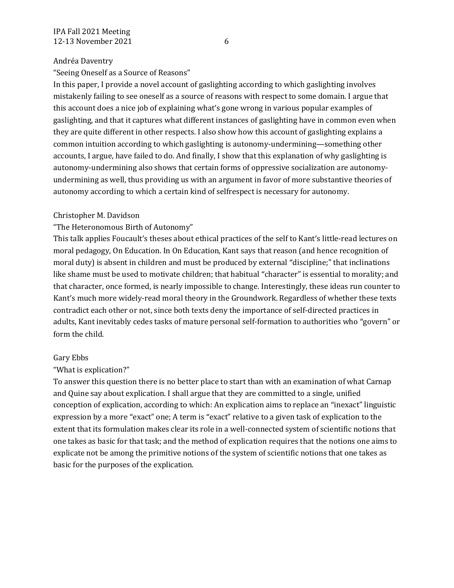## Andréa Daventry

"Seeing Oneself as a Source of Reasons"

In this paper, I provide a novel account of gaslighting according to which gaslighting involves mistakenly failing to see oneself as a source of reasons with respect to some domain. I argue that this account does a nice job of explaining what's gone wrong in various popular examples of gaslighting, and that it captures what different instances of gaslighting have in common even when they are quite different in other respects. I also show how this account of gaslighting explains a common intuition according to which gaslighting is autonomy-undermining—something other accounts, I argue, have failed to do. And finally, I show that this explanation of why gaslighting is autonomy-undermining also shows that certain forms of oppressive socialization are autonomyundermining as well, thus providing us with an argument in favor of more substantive theories of autonomy according to which a certain kind of selfrespect is necessary for autonomy.

# Christopher M. Davidson

# "The Heteronomous Birth of Autonomy"

This talk applies Foucault's theses about ethical practices of the self to Kant's little-read lectures on moral pedagogy, On Education. In On Education, Kant says that reason (and hence recognition of moral duty) is absent in children and must be produced by external "discipline;" that inclinations like shame must be used to motivate children; that habitual "character" is essential to morality; and that character, once formed, is nearly impossible to change. Interestingly, these ideas run counter to Kant's much more widely-read moral theory in the Groundwork. Regardless of whether these texts contradict each other or not, since both texts deny the importance of self-directed practices in adults, Kant inevitably cedes tasks of mature personal self-formation to authorities who "govern" or form the child.

# Gary Ebbs

# "What is explication?"

To answer this question there is no better place to start than with an examination of what Carnap and Quine say about explication. I shall argue that they are committed to a single, unified conception of explication, according to which: An explication aims to replace an "inexact" linguistic expression by a more "exact" one; A term is "exact" relative to a given task of explication to the extent that its formulation makes clear its role in a well-connected system of scientific notions that one takes as basic for that task; and the method of explication requires that the notions one aims to explicate not be among the primitive notions of the system of scientific notions that one takes as basic for the purposes of the explication.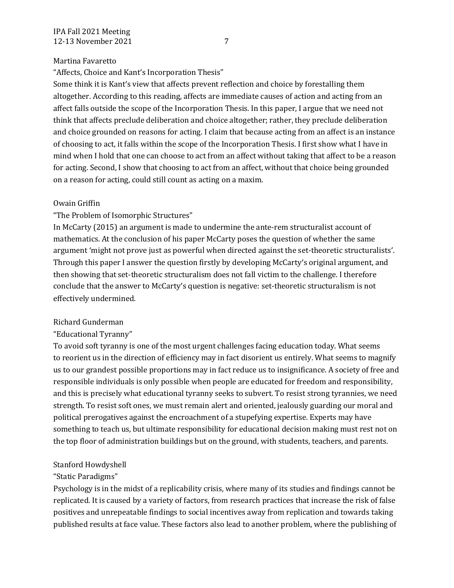## Martina Favaretto

"Affects, Choice and Kant's Incorporation Thesis"

Some think it is Kant's view that affects prevent reflection and choice by forestalling them altogether. According to this reading, affects are immediate causes of action and acting from an affect falls outside the scope of the Incorporation Thesis. In this paper, I argue that we need not think that affects preclude deliberation and choice altogether; rather, they preclude deliberation and choice grounded on reasons for acting. I claim that because acting from an affect is an instance of choosing to act, it falls within the scope of the Incorporation Thesis. I first show what I have in mind when I hold that one can choose to act from an affect without taking that affect to be a reason for acting. Second, I show that choosing to act from an affect, without that choice being grounded on a reason for acting, could still count as acting on a maxim.

## Owain Griffin

# "The Problem of Isomorphic Structures"

In McCarty (2015) an argument is made to undermine the ante-rem structuralist account of mathematics. At the conclusion of his paper McCarty poses the question of whether the same argument 'might not prove just as powerful when directed against the set-theoretic structuralists'. Through this paper I answer the question firstly by developing McCarty's original argument, and then showing that set-theoretic structuralism does not fall victim to the challenge. I therefore conclude that the answer to McCarty's question is negative: set-theoretic structuralism is not effectively undermined.

## Richard Gunderman

# "Educational Tyranny"

To avoid soft tyranny is one of the most urgent challenges facing education today. What seems to reorient us in the direction of efficiency may in fact disorient us entirely. What seems to magnify us to our grandest possible proportions may in fact reduce us to insignificance. A society of free and responsible individuals is only possible when people are educated for freedom and responsibility, and this is precisely what educational tyranny seeks to subvert. To resist strong tyrannies, we need strength. To resist soft ones, we must remain alert and oriented, jealously guarding our moral and political prerogatives against the encroachment of a stupefying expertise. Experts may have something to teach us, but ultimate responsibility for educational decision making must rest not on the top floor of administration buildings but on the ground, with students, teachers, and parents.

# Stanford Howdyshell

# "Static Paradigms"

Psychology is in the midst of a replicability crisis, where many of its studies and findings cannot be replicated. It is caused by a variety of factors, from research practices that increase the risk of false positives and unrepeatable findings to social incentives away from replication and towards taking published results at face value. These factors also lead to another problem, where the publishing of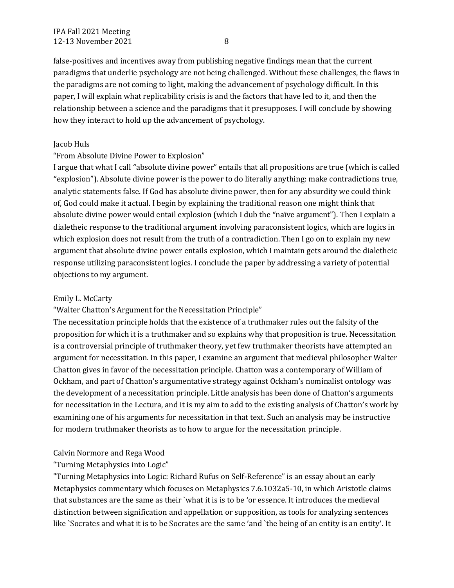false-positives and incentives away from publishing negative findings mean that the current paradigms that underlie psychology are not being challenged. Without these challenges, the flaws in the paradigms are not coming to light, making the advancement of psychology difficult. In this paper, I will explain what replicability crisis is and the factors that have led to it, and then the relationship between a science and the paradigms that it presupposes. I will conclude by showing how they interact to hold up the advancement of psychology.

## Jacob Huls

## "From Absolute Divine Power to Explosion"

I argue that what I call "absolute divine power" entails that all propositions are true (which is called "explosion"). Absolute divine power is the power to do literally anything: make contradictions true, analytic statements false. If God has absolute divine power, then for any absurdity we could think of, God could make it actual. I begin by explaining the traditional reason one might think that absolute divine power would entail explosion (which I dub the "naïve argument"). Then I explain a dialetheic response to the traditional argument involving paraconsistent logics, which are logics in which explosion does not result from the truth of a contradiction. Then I go on to explain my new argument that absolute divine power entails explosion, which I maintain gets around the dialetheic response utilizing paraconsistent logics. I conclude the paper by addressing a variety of potential objections to my argument.

## Emily L. McCarty

"Walter Chatton's Argument for the Necessitation Principle"

The necessitation principle holds that the existence of a truthmaker rules out the falsity of the proposition for which it is a truthmaker and so explains why that proposition is true. Necessitation is a controversial principle of truthmaker theory, yet few truthmaker theorists have attempted an argument for necessitation. In this paper, I examine an argument that medieval philosopher Walter Chatton gives in favor of the necessitation principle. Chatton was a contemporary of William of Ockham, and part of Chatton's argumentative strategy against Ockham's nominalist ontology was the development of a necessitation principle. Little analysis has been done of Chatton's arguments for necessitation in the Lectura, and it is my aim to add to the existing analysis of Chatton's work by examining one of his arguments for necessitation in that text. Such an analysis may be instructive for modern truthmaker theorists as to how to argue for the necessitation principle.

# Calvin Normore and Rega Wood

# "Turning Metaphysics into Logic"

"Turning Metaphysics into Logic: Richard Rufus on Self-Reference" is an essay about an early Metaphysics commentary which focuses on Metaphysics 7.6.1032a5-10, in which Aristotle claims that substances are the same as their `what it is is to be 'or essence. It introduces the medieval distinction between signification and appellation or supposition, as tools for analyzing sentences like `Socrates and what it is to be Socrates are the same 'and `the being of an entity is an entity'. It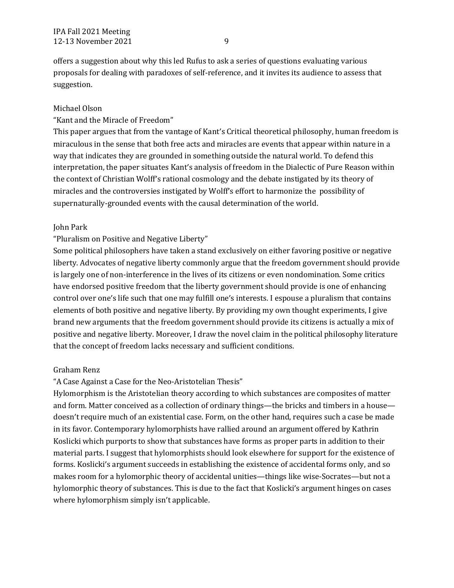offers a suggestion about why this led Rufus to ask a series of questions evaluating various proposals for dealing with paradoxes of self-reference, and it invites its audience to assess that suggestion.

### Michael Olson

### "Kant and the Miracle of Freedom"

This paper argues that from the vantage of Kant's Critical theoretical philosophy, human freedom is miraculous in the sense that both free acts and miracles are events that appear within nature in a way that indicates they are grounded in something outside the natural world. To defend this interpretation, the paper situates Kant's analysis of freedom in the Dialectic of Pure Reason within the context of Christian Wolff's rational cosmology and the debate instigated by its theory of miracles and the controversies instigated by Wolff's effort to harmonize the possibility of supernaturally-grounded events with the causal determination of the world.

#### John Park

### "Pluralism on Positive and Negative Liberty"

Some political philosophers have taken a stand exclusively on either favoring positive or negative liberty. Advocates of negative liberty commonly argue that the freedom government should provide is largely one of non-interference in the lives of its citizens or even nondomination. Some critics have endorsed positive freedom that the liberty government should provide is one of enhancing control over one's life such that one may fulfill one's interests. I espouse a pluralism that contains elements of both positive and negative liberty. By providing my own thought experiments, I give brand new arguments that the freedom government should provide its citizens is actually a mix of positive and negative liberty. Moreover, I draw the novel claim in the political philosophy literature that the concept of freedom lacks necessary and sufficient conditions.

#### Graham Renz

## "A Case Against a Case for the Neo-Aristotelian Thesis"

Hylomorphism is the Aristotelian theory according to which substances are composites of matter and form. Matter conceived as a collection of ordinary things—the bricks and timbers in a house doesn't require much of an existential case. Form, on the other hand, requires such a case be made in its favor. Contemporary hylomorphists have rallied around an argument offered by Kathrin Koslicki which purports to show that substances have forms as proper parts in addition to their material parts. I suggest that hylomorphists should look elsewhere for support for the existence of forms. Koslicki's argument succeeds in establishing the existence of accidental forms only, and so makes room for a hylomorphic theory of accidental unities—things like wise-Socrates—but not a hylomorphic theory of substances. This is due to the fact that Koslicki's argument hinges on cases where hylomorphism simply isn't applicable.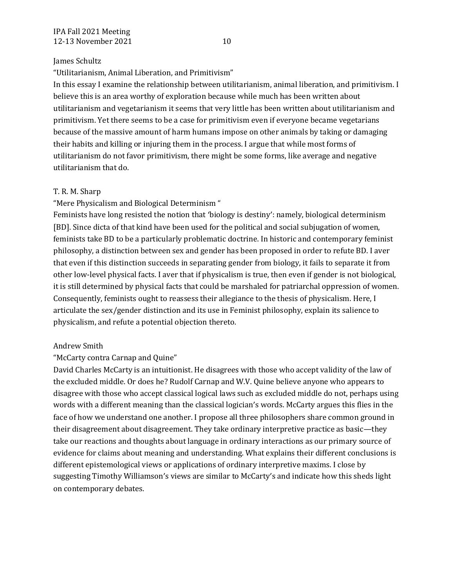## James Schultz

"Utilitarianism, Animal Liberation, and Primitivism"

In this essay I examine the relationship between utilitarianism, animal liberation, and primitivism. I believe this is an area worthy of exploration because while much has been written about utilitarianism and vegetarianism it seems that very little has been written about utilitarianism and primitivism. Yet there seems to be a case for primitivism even if everyone became vegetarians because of the massive amount of harm humans impose on other animals by taking or damaging their habits and killing or injuring them in the process. I argue that while most forms of utilitarianism do not favor primitivism, there might be some forms, like average and negative utilitarianism that do.

## T. R. M. Sharp

"Mere Physicalism and Biological Determinism "

Feminists have long resisted the notion that 'biology is destiny': namely, biological determinism [BD]. Since dicta of that kind have been used for the political and social subjugation of women, feminists take BD to be a particularly problematic doctrine. In historic and contemporary feminist philosophy, a distinction between sex and gender has been proposed in order to refute BD. I aver that even if this distinction succeeds in separating gender from biology, it fails to separate it from other low-level physical facts. I aver that if physicalism is true, then even if gender is not biological, it is still determined by physical facts that could be marshaled for patriarchal oppression of women. Consequently, feminists ought to reassess their allegiance to the thesis of physicalism. Here, I articulate the sex/gender distinction and its use in Feminist philosophy, explain its salience to physicalism, and refute a potential objection thereto.

## Andrew Smith

## "McCarty contra Carnap and Quine"

David Charles McCarty is an intuitionist. He disagrees with those who accept validity of the law of the excluded middle. Or does he? Rudolf Carnap and W.V. Quine believe anyone who appears to disagree with those who accept classical logical laws such as excluded middle do not, perhaps using words with a different meaning than the classical logician's words. McCarty argues this flies in the face of how we understand one another. I propose all three philosophers share common ground in their disagreement about disagreement. They take ordinary interpretive practice as basic—they take our reactions and thoughts about language in ordinary interactions as our primary source of evidence for claims about meaning and understanding. What explains their different conclusions is different epistemological views or applications of ordinary interpretive maxims. I close by suggesting Timothy Williamson's views are similar to McCarty's and indicate how this sheds light on contemporary debates.